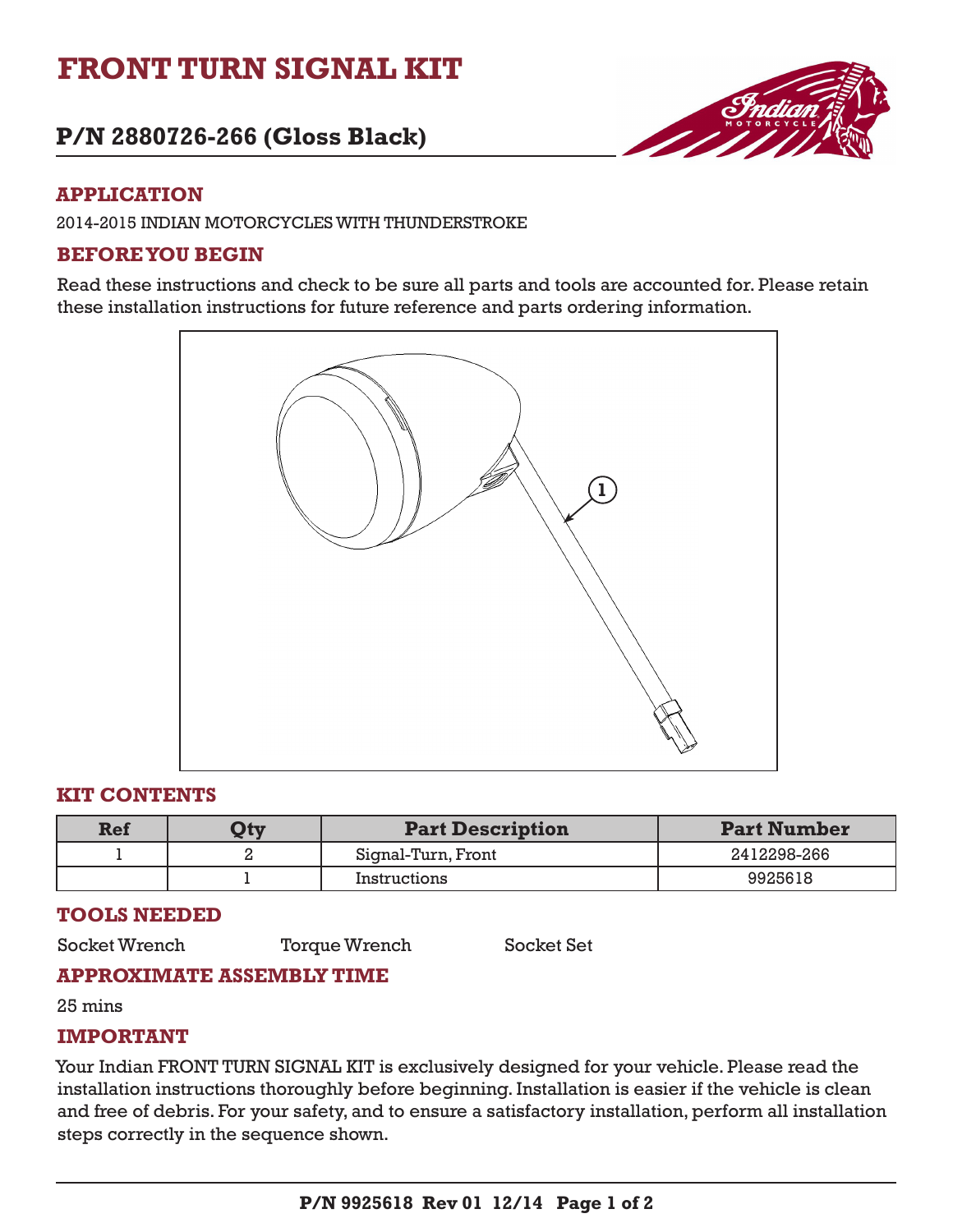# **FRONT TURN SIGNAL KIT**

## **P/N 2880726-266 (Gloss Black)**



## **APPLICATION**

2014-2015 INDIAN MOTORCYCLES WITH THUNDERSTROKE

## **BEFORE YOU BEGIN**

Read these instructions and check to be sure all parts and tools are accounted for. Please retain these installation instructions for future reference and parts ordering information.



## **KIT CONTENTS**

| Ref | $\mathbf{Q}$ ty | <b>Part Description</b> | <b>Part Number</b> |
|-----|-----------------|-------------------------|--------------------|
|     |                 | Signal-Turn, Front      | 2412298-266        |
|     |                 | Instructions            | 9925618            |

### **TOOLS NEEDED**

Socket Wrench Torque Wrench Socket Set

## **APPROXIMATE ASSEMBLY TIME**

25 mins

### **IMPORTANT**

Your Indian FRONT TURN SIGNAL KIT is exclusively designed for your vehicle. Please read the installation instructions thoroughly before beginning. Installation is easier if the vehicle is clean and free of debris. For your safety, and to ensure a satisfactory installation, perform all installation steps correctly in the sequence shown.